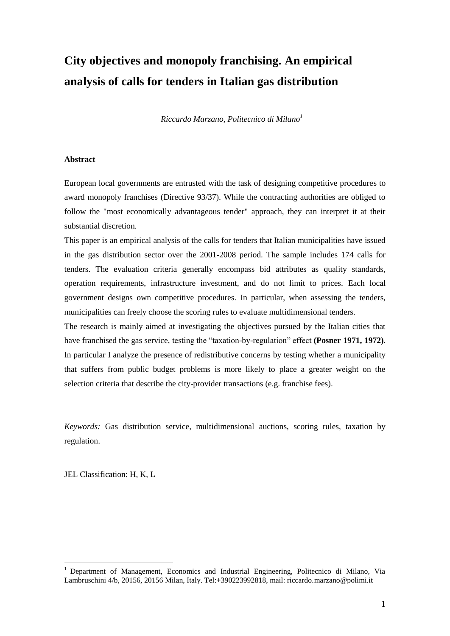# **City objectives and monopoly franchising. An empirical analysis of calls for tenders in Italian gas distribution**

*Riccardo Marzano, Politecnico di Milano<sup>1</sup>*

#### **Abstract**

European local governments are entrusted with the task of designing competitive procedures to award monopoly franchises (Directive 93/37). While the contracting authorities are obliged to follow the "most economically advantageous tender" approach, they can interpret it at their substantial discretion.

This paper is an empirical analysis of the calls for tenders that Italian municipalities have issued in the gas distribution sector over the 2001-2008 period. The sample includes 174 calls for tenders. The evaluation criteria generally encompass bid attributes as quality standards, operation requirements, infrastructure investment, and do not limit to prices. Each local government designs own competitive procedures. In particular, when assessing the tenders, municipalities can freely choose the scoring rules to evaluate multidimensional tenders.

The research is mainly aimed at investigating the objectives pursued by the Italian cities that have franchised the gas service, testing the "taxation-by-regulation" effect **(Posner 1971, 1972)**. In particular I analyze the presence of redistributive concerns by testing whether a municipality that suffers from public budget problems is more likely to place a greater weight on the selection criteria that describe the city-provider transactions (e.g. franchise fees).

*Keywords:* Gas distribution service, multidimensional auctions, scoring rules, taxation by regulation.

JEL Classification: H, K, L

<u>.</u>

<sup>1</sup> Department of Management, Economics and Industrial Engineering, Politecnico di Milano, Via Lambruschini 4/b, 20156, 20156 Milan, Italy. Tel:+390223992818, mail: riccardo.marzano@polimi.it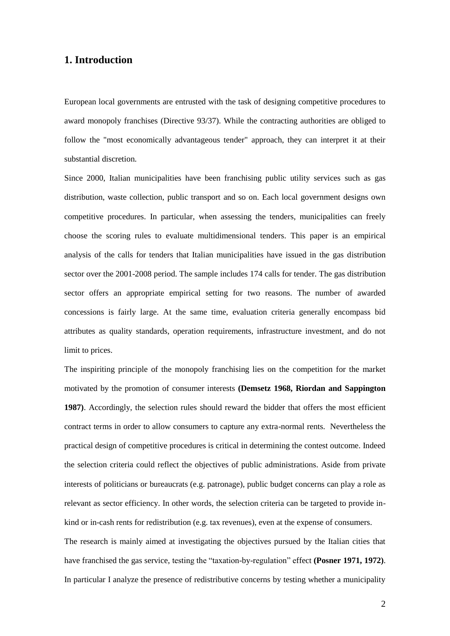#### **1. Introduction**

European local governments are entrusted with the task of designing competitive procedures to award monopoly franchises (Directive 93/37). While the contracting authorities are obliged to follow the "most economically advantageous tender" approach, they can interpret it at their substantial discretion.

Since 2000, Italian municipalities have been franchising public utility services such as gas distribution, waste collection, public transport and so on. Each local government designs own competitive procedures. In particular, when assessing the tenders, municipalities can freely choose the scoring rules to evaluate multidimensional tenders. This paper is an empirical analysis of the calls for tenders that Italian municipalities have issued in the gas distribution sector over the 2001-2008 period. The sample includes 174 calls for tender. The gas distribution sector offers an appropriate empirical setting for two reasons. The number of awarded concessions is fairly large. At the same time, evaluation criteria generally encompass bid attributes as quality standards, operation requirements, infrastructure investment, and do not limit to prices.

The inspiriting principle of the monopoly franchising lies on the competition for the market motivated by the promotion of consumer interests **(Demsetz 1968, Riordan and Sappington 1987)**. Accordingly, the selection rules should reward the bidder that offers the most efficient contract terms in order to allow consumers to capture any extra-normal rents. Nevertheless the practical design of competitive procedures is critical in determining the contest outcome. Indeed the selection criteria could reflect the objectives of public administrations. Aside from private interests of politicians or bureaucrats (e.g. patronage), public budget concerns can play a role as relevant as sector efficiency. In other words, the selection criteria can be targeted to provide inkind or in-cash rents for redistribution (e.g. tax revenues), even at the expense of consumers.

The research is mainly aimed at investigating the objectives pursued by the Italian cities that have franchised the gas service, testing the "taxation-by-regulation" effect **(Posner 1971, 1972)**. In particular I analyze the presence of redistributive concerns by testing whether a municipality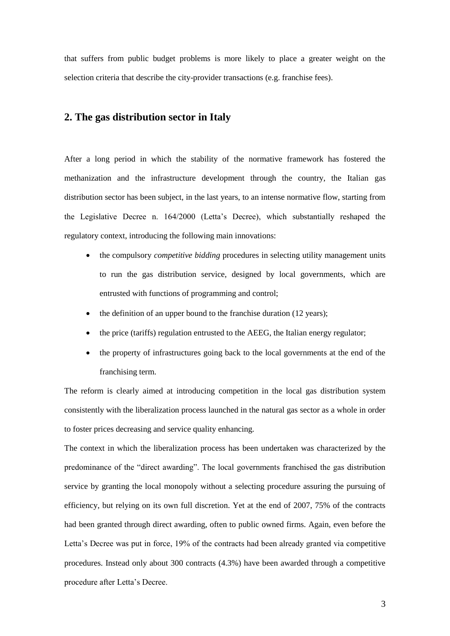that suffers from public budget problems is more likely to place a greater weight on the selection criteria that describe the city-provider transactions (e.g. franchise fees).

#### **2. The gas distribution sector in Italy**

After a long period in which the stability of the normative framework has fostered the methanization and the infrastructure development through the country, the Italian gas distribution sector has been subject, in the last years, to an intense normative flow, starting from the Legislative Decree n. 164/2000 (Letta's Decree), which substantially reshaped the regulatory context, introducing the following main innovations:

- the compulsory *competitive bidding* procedures in selecting utility management units to run the gas distribution service, designed by local governments, which are entrusted with functions of programming and control;
- $\bullet$  the definition of an upper bound to the franchise duration (12 years);
- the price (tariffs) regulation entrusted to the AEEG, the Italian energy regulator;
- the property of infrastructures going back to the local governments at the end of the franchising term.

The reform is clearly aimed at introducing competition in the local gas distribution system consistently with the liberalization process launched in the natural gas sector as a whole in order to foster prices decreasing and service quality enhancing.

The context in which the liberalization process has been undertaken was characterized by the predominance of the "direct awarding". The local governments franchised the gas distribution service by granting the local monopoly without a selecting procedure assuring the pursuing of efficiency, but relying on its own full discretion. Yet at the end of 2007, 75% of the contracts had been granted through direct awarding, often to public owned firms. Again, even before the Letta's Decree was put in force, 19% of the contracts had been already granted via competitive procedures. Instead only about 300 contracts (4.3%) have been awarded through a competitive procedure after Letta's Decree.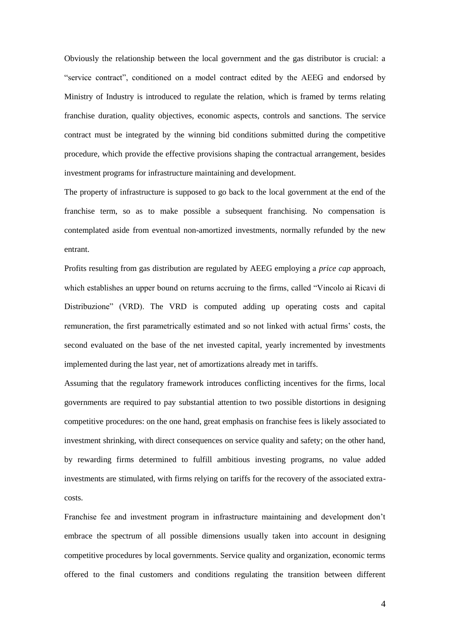Obviously the relationship between the local government and the gas distributor is crucial: a "service contract", conditioned on a model contract edited by the AEEG and endorsed by Ministry of Industry is introduced to regulate the relation, which is framed by terms relating franchise duration, quality objectives, economic aspects, controls and sanctions. The service contract must be integrated by the winning bid conditions submitted during the competitive procedure, which provide the effective provisions shaping the contractual arrangement, besides investment programs for infrastructure maintaining and development.

The property of infrastructure is supposed to go back to the local government at the end of the franchise term, so as to make possible a subsequent franchising. No compensation is contemplated aside from eventual non-amortized investments, normally refunded by the new entrant.

Profits resulting from gas distribution are regulated by AEEG employing a *price cap* approach, which establishes an upper bound on returns accruing to the firms, called "Vincolo ai Ricavi di Distribuzione" (VRD). The VRD is computed adding up operating costs and capital remuneration, the first parametrically estimated and so not linked with actual firms' costs, the second evaluated on the base of the net invested capital, yearly incremented by investments implemented during the last year, net of amortizations already met in tariffs.

Assuming that the regulatory framework introduces conflicting incentives for the firms, local governments are required to pay substantial attention to two possible distortions in designing competitive procedures: on the one hand, great emphasis on franchise fees is likely associated to investment shrinking, with direct consequences on service quality and safety; on the other hand, by rewarding firms determined to fulfill ambitious investing programs, no value added investments are stimulated, with firms relying on tariffs for the recovery of the associated extracosts.

Franchise fee and investment program in infrastructure maintaining and development don't embrace the spectrum of all possible dimensions usually taken into account in designing competitive procedures by local governments. Service quality and organization, economic terms offered to the final customers and conditions regulating the transition between different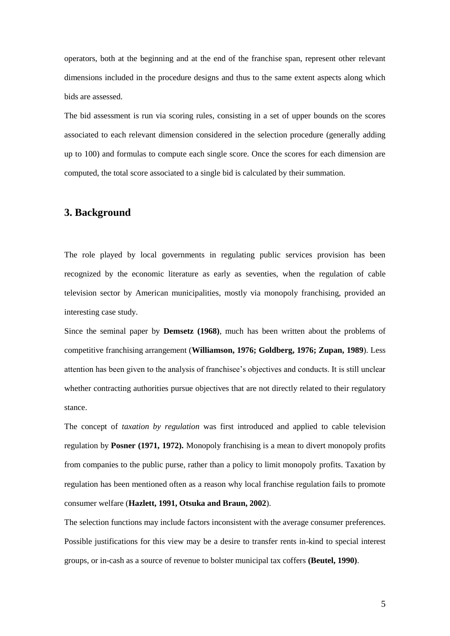operators, both at the beginning and at the end of the franchise span, represent other relevant dimensions included in the procedure designs and thus to the same extent aspects along which bids are assessed.

The bid assessment is run via scoring rules, consisting in a set of upper bounds on the scores associated to each relevant dimension considered in the selection procedure (generally adding up to 100) and formulas to compute each single score. Once the scores for each dimension are computed, the total score associated to a single bid is calculated by their summation.

## **3. Background**

The role played by local governments in regulating public services provision has been recognized by the economic literature as early as seventies, when the regulation of cable television sector by American municipalities, mostly via monopoly franchising, provided an interesting case study.

Since the seminal paper by **Demsetz (1968)**, much has been written about the problems of competitive franchising arrangement (**Williamson, 1976; Goldberg, 1976; Zupan, 1989**). Less attention has been given to the analysis of franchisee's objectives and conducts. It is still unclear whether contracting authorities pursue objectives that are not directly related to their regulatory stance.

The concept of *taxation by regulation* was first introduced and applied to cable television regulation by **Posner (1971, 1972).** Monopoly franchising is a mean to divert monopoly profits from companies to the public purse, rather than a policy to limit monopoly profits. Taxation by regulation has been mentioned often as a reason why local franchise regulation fails to promote consumer welfare (**Hazlett, 1991, Otsuka and Braun, 2002**).

The selection functions may include factors inconsistent with the average consumer preferences. Possible justifications for this view may be a desire to transfer rents in-kind to special interest groups, or in-cash as a source of revenue to bolster municipal tax coffers **(Beutel, 1990)**.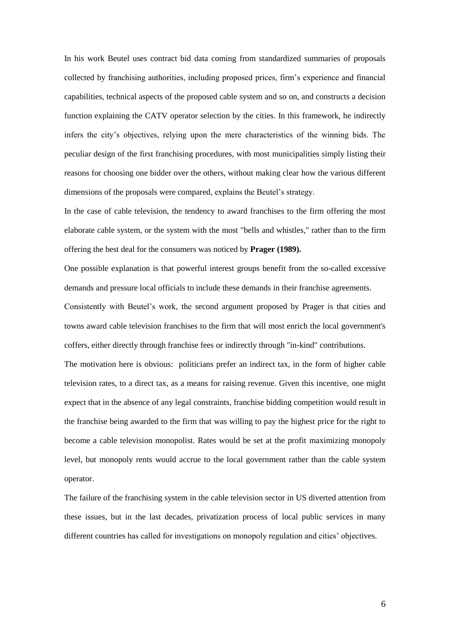In his work Beutel uses contract bid data coming from standardized summaries of proposals collected by franchising authorities, including proposed prices, firm's experience and financial capabilities, technical aspects of the proposed cable system and so on, and constructs a decision function explaining the CATV operator selection by the cities. In this framework, he indirectly infers the city's objectives, relying upon the mere characteristics of the winning bids. The peculiar design of the first franchising procedures, with most municipalities simply listing their reasons for choosing one bidder over the others, without making clear how the various different dimensions of the proposals were compared, explains the Beutel's strategy.

In the case of cable television, the tendency to award franchises to the firm offering the most elaborate cable system, or the system with the most "bells and whistles," rather than to the firm offering the best deal for the consumers was noticed by **Prager (1989).**

One possible explanation is that powerful interest groups benefit from the so-called excessive demands and pressure local officials to include these demands in their franchise agreements.

Consistently with Beutel's work, the second argument proposed by Prager is that cities and towns award cable television franchises to the firm that will most enrich the local government's coffers, either directly through franchise fees or indirectly through "in-kind" contributions.

The motivation here is obvious: politicians prefer an indirect tax, in the form of higher cable television rates, to a direct tax, as a means for raising revenue. Given this incentive, one might expect that in the absence of any legal constraints, franchise bidding competition would result in the franchise being awarded to the firm that was willing to pay the highest price for the right to become a cable television monopolist. Rates would be set at the profit maximizing monopoly level, but monopoly rents would accrue to the local government rather than the cable system operator.

The failure of the franchising system in the cable television sector in US diverted attention from these issues, but in the last decades, privatization process of local public services in many different countries has called for investigations on monopoly regulation and cities' objectives.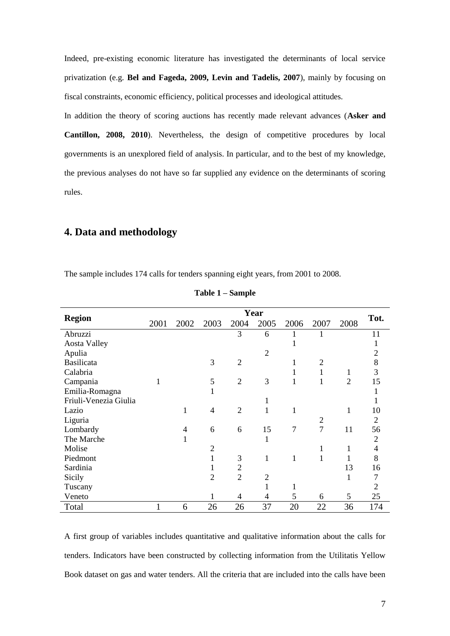Indeed, pre-existing economic literature has investigated the determinants of local service privatization (e.g. **Bel and Fageda, 2009, Levin and Tadelis, 2007**), mainly by focusing on fiscal constraints, economic efficiency, political processes and ideological attitudes.

In addition the theory of scoring auctions has recently made relevant advances (**Asker and Cantillon, 2008, 2010**). Nevertheless, the design of competitive procedures by local governments is an unexplored field of analysis. In particular, and to the best of my knowledge, the previous analyses do not have so far supplied any evidence on the determinants of scoring rules.

### **4. Data and methodology**

The sample includes 174 calls for tenders spanning eight years, from 2001 to 2008.

|                       |      |      |                |                | Year           |                |                |                |                |
|-----------------------|------|------|----------------|----------------|----------------|----------------|----------------|----------------|----------------|
| <b>Region</b>         | 2001 | 2002 | 2003           | 2004           | 2005           | 2006           | 2007           | 2008           | Tot.           |
| Abruzzi               |      |      |                | 3              | 6              |                | 1              |                | 11             |
| <b>Aosta Valley</b>   |      |      |                |                |                |                |                |                | 1              |
| Apulia                |      |      |                |                | $\overline{2}$ |                |                |                | $\overline{2}$ |
| <b>Basilicata</b>     |      |      | 3              | $\overline{2}$ |                |                | $\overline{2}$ |                | 8              |
| Calabria              |      |      |                |                |                |                |                | 1              | $\overline{3}$ |
| Campania              | 1    |      | 5              | $\overline{2}$ | 3              |                | 1              | $\overline{2}$ | 15             |
| Emilia-Romagna        |      |      | 1              |                |                |                |                |                | 1              |
| Friuli-Venezia Giulia |      |      |                |                | 1              |                |                |                | 1              |
| Lazio                 |      | 1    | 4              | $\overline{2}$ | 1              | 1              |                | 1              | 10             |
| Liguria               |      |      |                |                |                |                | $\overline{2}$ |                | 2              |
| Lombardy              |      | 4    | 6              | 6              | 15             | $\overline{7}$ | $\overline{7}$ | 11             | 56             |
| The Marche            |      | 1    |                |                | 1              |                |                |                | $\overline{2}$ |
| Molise                |      |      | $\overline{2}$ |                |                |                | 1              | 1              | $\overline{4}$ |
| Piedmont              |      |      | 1              | 3              | 1              | 1              |                |                | 8              |
| Sardinia              |      |      | 1              | $\overline{2}$ |                |                |                | 13             | 16             |
| Sicily                |      |      | $\overline{2}$ | $\overline{2}$ | $\overline{c}$ |                |                | 1              | 7              |
| Tuscany               |      |      |                |                | 1              | 1              |                |                | $\overline{2}$ |
| Veneto                |      |      | 1              | 4              | 4              | 5              | 6              | 5              | 25             |
| Total                 |      | 6    | 26             | 26             | 37             | 20             | 22             | 36             | 174            |

|  |  | Table 1 – Sample |  |
|--|--|------------------|--|
|--|--|------------------|--|

A first group of variables includes quantitative and qualitative information about the calls for tenders. Indicators have been constructed by collecting information from the Utilitatis Yellow Book dataset on gas and water tenders. All the criteria that are included into the calls have been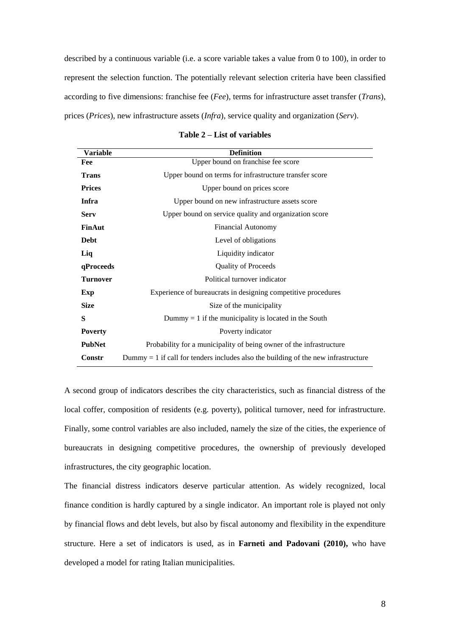described by a continuous variable (i.e. a score variable takes a value from 0 to 100), in order to represent the selection function. The potentially relevant selection criteria have been classified according to five dimensions: franchise fee (*Fee*), terms for infrastructure asset transfer (*Trans*), prices (*Prices*), new infrastructure assets (*Infra*), service quality and organization (*Serv*).

| <b>Variable</b> | <b>Definition</b>                                                                    |
|-----------------|--------------------------------------------------------------------------------------|
| Fee             | Upper bound on franchise fee score                                                   |
| <b>Trans</b>    | Upper bound on terms for infrastructure transfer score                               |
| <b>Prices</b>   | Upper bound on prices score                                                          |
| Infra           | Upper bound on new infrastructure assets score                                       |
| <b>Serv</b>     | Upper bound on service quality and organization score                                |
| FinAut          | <b>Financial Autonomy</b>                                                            |
| <b>Debt</b>     | Level of obligations                                                                 |
| Liq             | Liquidity indicator                                                                  |
| qProceeds       | <b>Quality of Proceeds</b>                                                           |
| <b>Turnover</b> | Political turnover indicator                                                         |
| Exp             | Experience of bureaucrats in designing competitive procedures                        |
| <b>Size</b>     | Size of the municipality                                                             |
| S               | Dummy $= 1$ if the municipality is located in the South                              |
| <b>Poverty</b>  | Poverty indicator                                                                    |
| <b>PubNet</b>   | Probability for a municipality of being owner of the infrastructure                  |
| Constr          | Dummy $= 1$ if call for tenders includes also the building of the new infrastructure |

**Table 2 – List of variables**

A second group of indicators describes the city characteristics, such as financial distress of the local coffer, composition of residents (e.g. poverty), political turnover, need for infrastructure. Finally, some control variables are also included, namely the size of the cities, the experience of bureaucrats in designing competitive procedures, the ownership of previously developed infrastructures, the city geographic location.

The financial distress indicators deserve particular attention. As widely recognized, local finance condition is hardly captured by a single indicator. An important role is played not only by financial flows and debt levels, but also by fiscal autonomy and flexibility in the expenditure structure. Here a set of indicators is used, as in **Farneti and Padovani (2010),** who have developed a model for rating Italian municipalities.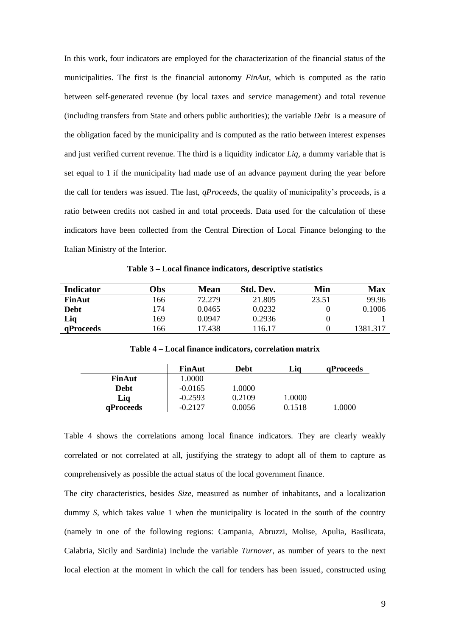In this work, four indicators are employed for the characterization of the financial status of the municipalities. The first is the financial autonomy *FinAut*, which is computed as the ratio between self-generated revenue (by local taxes and service management) and total revenue (including transfers from State and others public authorities); the variable *Debt* is a measure of the obligation faced by the municipality and is computed as the ratio between interest expenses and just verified current revenue. The third is a liquidity indicator *Liq,* a dummy variable that is set equal to 1 if the municipality had made use of an advance payment during the year before the call for tenders was issued. The last, *qProceeds*, the quality of municipality's proceeds, is a ratio between credits not cashed in and total proceeds. Data used for the calculation of these indicators have been collected from the Central Direction of Local Finance belonging to the Italian Ministry of the Interior.

**Table 3 – Local finance indicators, descriptive statistics**

| <b>Indicator</b> | <b>Jbs</b> | <b>Mean</b> | Std. Dev. | Min   | <b>Max</b> |
|------------------|------------|-------------|-----------|-------|------------|
| FinAut           | 166.       | 72.279      | 21.805    | 23.51 | 99.96      |
| <b>Debt</b>      | 174        | 0.0465      | 0.0232    |       | 0.1006     |
| Liq              | 169        | 0.0947      | 0.2936    |       |            |
| qProceeds        | 166        | 17.438      | 116.17    |       | 1381.317   |

**Table 4 – Local finance indicators, correlation matrix**

|               | <b>FinAut</b> | Debt   | Lia    | <b>aProceeds</b> |
|---------------|---------------|--------|--------|------------------|
| <b>FinAut</b> | 1.0000        |        |        |                  |
| <b>Debt</b>   | $-0.0165$     | 1.0000 |        |                  |
| Liq           | $-0.2593$     | 0.2109 | 1.0000 |                  |
| qProceeds     | $-0.2127$     | 0.0056 | 0.1518 | 1.0000           |

Table 4 shows the correlations among local finance indicators. They are clearly weakly correlated or not correlated at all, justifying the strategy to adopt all of them to capture as comprehensively as possible the actual status of the local government finance.

The city characteristics, besides *Size*, measured as number of inhabitants, and a localization dummy *S*, which takes value 1 when the municipality is located in the south of the country (namely in one of the following regions: Campania, Abruzzi, Molise, Apulia, Basilicata, Calabria, Sicily and Sardinia) include the variable *Turnover*, as number of years to the next local election at the moment in which the call for tenders has been issued, constructed using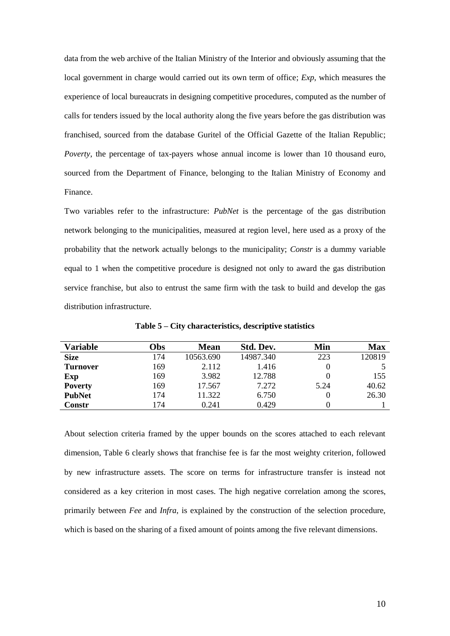data from the web archive of the Italian Ministry of the Interior and obviously assuming that the local government in charge would carried out its own term of office; *Exp*, which measures the experience of local bureaucrats in designing competitive procedures, computed as the number of calls for tenders issued by the local authority along the five years before the gas distribution was franchised, sourced from the database Guritel of the Official Gazette of the Italian Republic; *Poverty*, the percentage of tax-payers whose annual income is lower than 10 thousand euro, sourced from the Department of Finance, belonging to the Italian Ministry of Economy and Finance.

Two variables refer to the infrastructure: *PubNet* is the percentage of the gas distribution network belonging to the municipalities, measured at region level, here used as a proxy of the probability that the network actually belongs to the municipality; *Constr* is a dummy variable equal to 1 when the competitive procedure is designed not only to award the gas distribution service franchise, but also to entrust the same firm with the task to build and develop the gas distribution infrastructure.

| Variable        | <b>Obs</b> | <b>Mean</b> | Std. Dev. | Min  | <b>Max</b> |
|-----------------|------------|-------------|-----------|------|------------|
| <b>Size</b>     | 174        | 10563.690   | 14987.340 | 223  | 120819     |
| <b>Turnover</b> | 169        | 2.112       | 1.416     |      |            |
| Exp             | 169        | 3.982       | 12.788    |      | 155        |
| <b>Poverty</b>  | 169        | 17.567      | 7.272     | 5.24 | 40.62      |
| <b>PubNet</b>   | 174        | 11.322      | 6.750     |      | 26.30      |
| <b>Constr</b>   | 174        | 0.241       | 0.429     |      |            |

**Table 5 – City characteristics, descriptive statistics**

About selection criteria framed by the upper bounds on the scores attached to each relevant dimension, Table 6 clearly shows that franchise fee is far the most weighty criterion, followed by new infrastructure assets. The score on terms for infrastructure transfer is instead not considered as a key criterion in most cases. The high negative correlation among the scores, primarily between *Fee* and *Infra*, is explained by the construction of the selection procedure, which is based on the sharing of a fixed amount of points among the five relevant dimensions.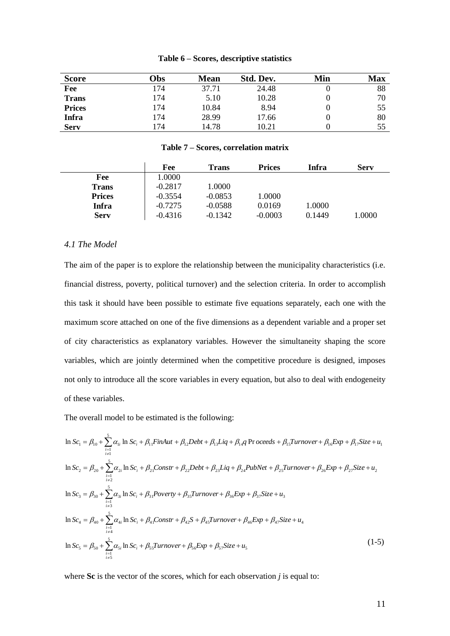| <b>Score</b>  | Obs | <b>Mean</b> | Std. Dev. | Min | <b>Max</b> |
|---------------|-----|-------------|-----------|-----|------------|
| Fee           | 174 | 37.71       | 24.48     |     | 88         |
| <b>Trans</b>  | 174 | 5.10        | 10.28     |     | 70         |
| <b>Prices</b> | 174 | 10.84       | 8.94      |     | 55         |
| <b>Infra</b>  | 174 | 28.99       | 17.66     |     | 80         |
| <b>Serv</b>   | 174 | 14.78       | 10.21     |     | 55         |

#### **Table 6 – Scores, descriptive statistics**

#### **Table 7 – Scores, correlation matrix**

|               | Fee       | <b>Trans</b> | <b>Prices</b> | <b>Infra</b> | Serv   |
|---------------|-----------|--------------|---------------|--------------|--------|
| Fee           | 1.0000    |              |               |              |        |
| Trans         | $-0.2817$ | 1.0000       |               |              |        |
| <b>Prices</b> | $-0.3554$ | $-0.0853$    | 1.0000        |              |        |
| Infra         | $-0.7275$ | $-0.0588$    | 0.0169        | 1.0000       |        |
| <b>Serv</b>   | $-0.4316$ | $-0.1342$    | $-0.0003$     | 0.1449       | 1.0000 |

#### *4.1 The Model*

The aim of the paper is to explore the relationship between the municipality characteristics (i.e. financial distress, poverty, political turnover) and the selection criteria. In order to accomplish this task it should have been possible to estimate five equations separately, each one with the maximum score attached on one of the five dimensions as a dependent variable and a proper set of city characteristics as explanatory variables. However the simultaneity shaping the score variables, which are jointly determined when the competitive procedure is designed, imposes not only to introduce all the score variables in every equation, but also to deal with endogeneity of these variables.

The overall model to be estimated is the following:

$$
\ln Sc_{1} = \beta_{10} + \sum_{\substack{i=1 \ i \neq 1}}^{5} \alpha_{1i} \ln Sc_{i} + \beta_{11} \text{Find} + \beta_{12} \text{Debt} + \beta_{13} \text{Liq} + \beta_{14} \text{Proceeds} + \beta_{15} \text{Turnover} + \beta_{16} \text{Exp} + \beta_{17} \text{Size} + u_{1}
$$
\n
$$
\ln Sc_{2} = \beta_{20} + \sum_{\substack{i=1 \ i \neq 2}}^{5} \alpha_{2i} \ln Sc_{i} + \beta_{21} \text{Constr} + \beta_{22} \text{Debt} + \beta_{23} \text{Liq} + \beta_{24} \text{PubNet} + \beta_{25} \text{Turnover} + \beta_{26} \text{Exp} + \beta_{27} \text{Size} + u_{2}
$$
\n
$$
\ln Sc_{3} = \beta_{30} + \sum_{\substack{i=1 \ i \neq 3}}^{5} \alpha_{3i} \ln Sc_{i} + \beta_{31} \text{Powerty} + \beta_{35} \text{Turnover} + \beta_{36} \text{Exp} + \beta_{37} \text{Size} + u_{3}
$$
\n
$$
\ln Sc_{4} = \beta_{40} + \sum_{\substack{i=1 \ i \neq 4}}^{5} \alpha_{4i} \ln Sc_{i} + \beta_{41} \text{Constr} + \beta_{42} \text{S} + \beta_{45} \text{Turnover} + \beta_{46} \text{Exp} + \beta_{47} \text{Size} + u_{4}
$$
\n
$$
\ln Sc_{5} = \beta_{50} + \sum_{\substack{i=1 \ i \neq 3}}^{5} \alpha_{5i} \ln Sc_{i} + \beta_{55} \text{Turnover} + \beta_{56} \text{Exp} + \beta_{57} \text{Size} + u_{5}
$$
\n(1-5)

where **Sc** is the vector of the scores, which for each observation *j* is equal to: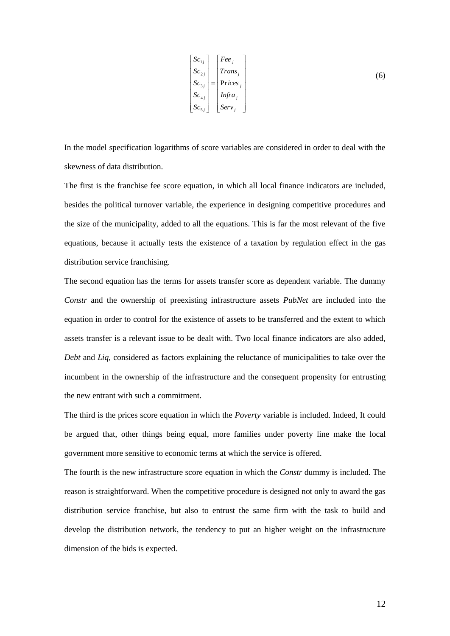$$
\begin{bmatrix}\nSc_{1j} \\
Sc_{2j} \\
Sc_{3j} \\
Sc_{4j} \\
Sc_{5j}\n\end{bmatrix} = \begin{bmatrix}\nFee_j \\
Trans_j \\
Prices_j \\
Prices_j \\
Infra_j \\
Serv_j\n\end{bmatrix}
$$
\n(6)

In the model specification logarithms of score variables are considered in order to deal with the skewness of data distribution.

The first is the franchise fee score equation, in which all local finance indicators are included, besides the political turnover variable, the experience in designing competitive procedures and the size of the municipality, added to all the equations. This is far the most relevant of the five equations, because it actually tests the existence of a taxation by regulation effect in the gas distribution service franchising.

The second equation has the terms for assets transfer score as dependent variable. The dummy *Constr* and the ownership of preexisting infrastructure assets *PubNet* are included into the equation in order to control for the existence of assets to be transferred and the extent to which assets transfer is a relevant issue to be dealt with. Two local finance indicators are also added, *Debt* and *Liq*, considered as factors explaining the reluctance of municipalities to take over the incumbent in the ownership of the infrastructure and the consequent propensity for entrusting the new entrant with such a commitment.

The third is the prices score equation in which the *Poverty* variable is included. Indeed, It could be argued that, other things being equal, more families under poverty line make the local government more sensitive to economic terms at which the service is offered.

The fourth is the new infrastructure score equation in which the *Constr* dummy is included. The reason is straightforward. When the competitive procedure is designed not only to award the gas distribution service franchise, but also to entrust the same firm with the task to build and develop the distribution network, the tendency to put an higher weight on the infrastructure dimension of the bids is expected.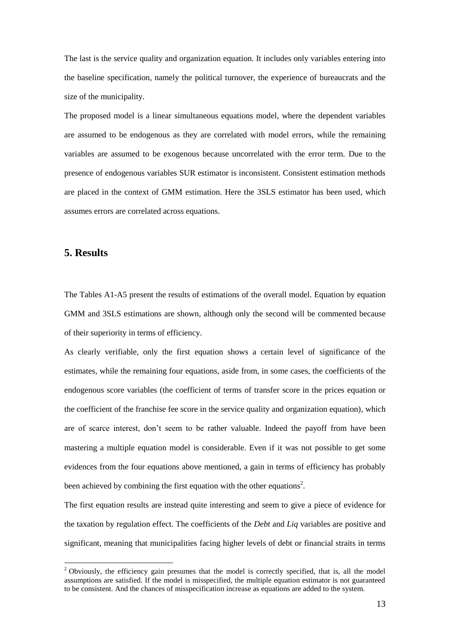The last is the service quality and organization equation. It includes only variables entering into the baseline specification, namely the political turnover, the experience of bureaucrats and the size of the municipality.

The proposed model is a linear simultaneous equations model, where the dependent variables are assumed to be endogenous as they are correlated with model errors, while the remaining variables are assumed to be exogenous because uncorrelated with the error term. Due to the presence of endogenous variables SUR estimator is inconsistent. Consistent estimation methods are placed in the context of GMM estimation. Here the 3SLS estimator has been used, which assumes errors are correlated across equations.

### **5. Results**

<u>.</u>

The Tables A1-A5 present the results of estimations of the overall model. Equation by equation GMM and 3SLS estimations are shown, although only the second will be commented because of their superiority in terms of efficiency.

As clearly verifiable, only the first equation shows a certain level of significance of the estimates, while the remaining four equations, aside from, in some cases, the coefficients of the endogenous score variables (the coefficient of terms of transfer score in the prices equation or the coefficient of the franchise fee score in the service quality and organization equation), which are of scarce interest, don't seem to be rather valuable. Indeed the payoff from have been mastering a multiple equation model is considerable. Even if it was not possible to get some evidences from the four equations above mentioned, a gain in terms of efficiency has probably been achieved by combining the first equation with the other equations<sup>2</sup>.

The first equation results are instead quite interesting and seem to give a piece of evidence for the taxation by regulation effect. The coefficients of the *Debt* and *Liq* variables are positive and significant, meaning that municipalities facing higher levels of debt or financial straits in terms

<sup>&</sup>lt;sup>2</sup> Obviously, the efficiency gain presumes that the model is correctly specified, that is, all the model assumptions are satisfied. If the model is misspecified, the multiple equation estimator is not guaranteed to be consistent. And the chances of misspecification increase as equations are added to the system.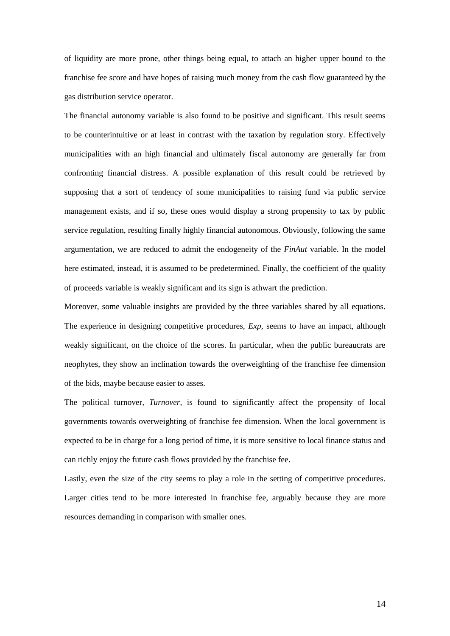of liquidity are more prone, other things being equal, to attach an higher upper bound to the franchise fee score and have hopes of raising much money from the cash flow guaranteed by the gas distribution service operator.

The financial autonomy variable is also found to be positive and significant. This result seems to be counterintuitive or at least in contrast with the taxation by regulation story. Effectively municipalities with an high financial and ultimately fiscal autonomy are generally far from confronting financial distress. A possible explanation of this result could be retrieved by supposing that a sort of tendency of some municipalities to raising fund via public service management exists, and if so, these ones would display a strong propensity to tax by public service regulation, resulting finally highly financial autonomous. Obviously, following the same argumentation, we are reduced to admit the endogeneity of the *FinAut* variable. In the model here estimated, instead, it is assumed to be predetermined. Finally, the coefficient of the quality of proceeds variable is weakly significant and its sign is athwart the prediction.

Moreover, some valuable insights are provided by the three variables shared by all equations. The experience in designing competitive procedures, *Exp*, seems to have an impact, although weakly significant, on the choice of the scores. In particular, when the public bureaucrats are neophytes, they show an inclination towards the overweighting of the franchise fee dimension of the bids, maybe because easier to asses.

The political turnover, *Turnover*, is found to significantly affect the propensity of local governments towards overweighting of franchise fee dimension. When the local government is expected to be in charge for a long period of time, it is more sensitive to local finance status and can richly enjoy the future cash flows provided by the franchise fee.

Lastly, even the size of the city seems to play a role in the setting of competitive procedures. Larger cities tend to be more interested in franchise fee, arguably because they are more resources demanding in comparison with smaller ones.

14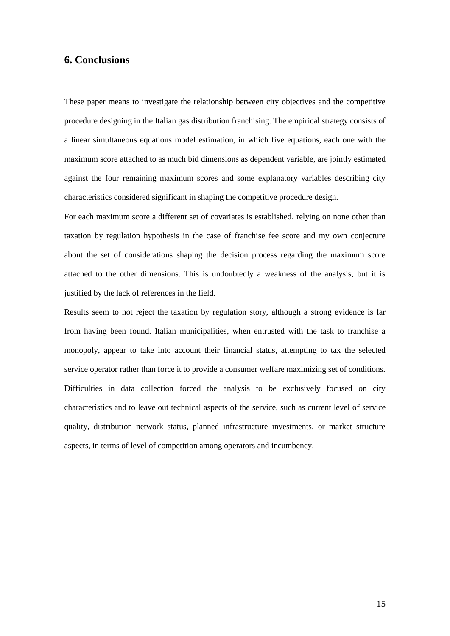## **6. Conclusions**

These paper means to investigate the relationship between city objectives and the competitive procedure designing in the Italian gas distribution franchising. The empirical strategy consists of a linear simultaneous equations model estimation, in which five equations, each one with the maximum score attached to as much bid dimensions as dependent variable, are jointly estimated against the four remaining maximum scores and some explanatory variables describing city characteristics considered significant in shaping the competitive procedure design.

For each maximum score a different set of covariates is established, relying on none other than taxation by regulation hypothesis in the case of franchise fee score and my own conjecture about the set of considerations shaping the decision process regarding the maximum score attached to the other dimensions. This is undoubtedly a weakness of the analysis, but it is justified by the lack of references in the field.

Results seem to not reject the taxation by regulation story, although a strong evidence is far from having been found. Italian municipalities, when entrusted with the task to franchise a monopoly, appear to take into account their financial status, attempting to tax the selected service operator rather than force it to provide a consumer welfare maximizing set of conditions. Difficulties in data collection forced the analysis to be exclusively focused on city characteristics and to leave out technical aspects of the service, such as current level of service quality, distribution network status, planned infrastructure investments, or market structure aspects, in terms of level of competition among operators and incumbency.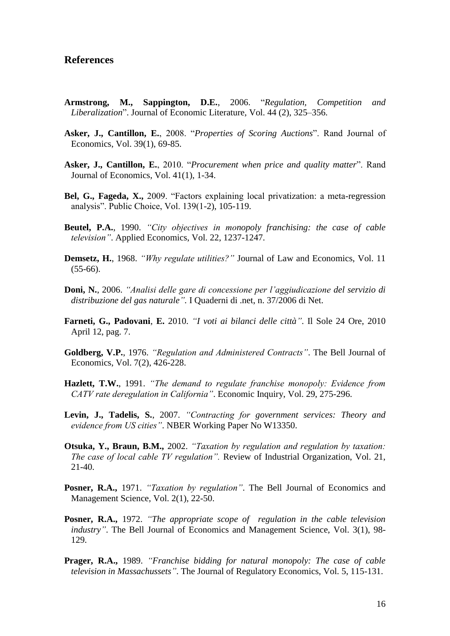#### **References**

- **Armstrong, M., Sappington, D.E.**, 2006. "*Regulation, Competition and Liberalization*". Journal of Economic Literature, Vol. 44 (2), 325–356.
- **Asker, J., Cantillon, E.**, 2008. "*Properties of Scoring Auctions*". Rand Journal of Economics, Vol. 39(1), 69-85.
- **Asker, J., Cantillon, E.**, 2010. "*Procurement when price and quality matter*". Rand Journal of Economics, Vol. 41(1), 1-34.
- **Bel, G., Fageda, X.,** 2009. "Factors explaining local privatization: a meta-regression analysis". Public Choice, Vol. 139(1-2), 105-119.
- **Beutel, P.A.**, 1990. *"City objectives in monopoly franchising: the case of cable television"*. Applied Economics, Vol. 22, 1237-1247.
- **Demsetz, H.**, 1968. *"Why regulate utilities?"* Journal of Law and Economics, Vol. 11  $(55-66)$ .
- **Doni, N.**, 2006. *"Analisi delle gare di concessione per l'aggiudicazione del servizio di distribuzione del gas naturale".* I Quaderni di .net, n. 37/2006 di Net.
- **Farneti, G., Padovani**, **E.** 2010. *"I voti ai bilanci delle città"*. Il Sole 24 Ore, 2010 April 12, pag. 7.
- **Goldberg, V.P.**, 1976. *"Regulation and Administered Contracts"*. The Bell Journal of Economics, Vol. 7(2), 426-228.
- **Hazlett, T.W.**, 1991. *"The demand to regulate franchise monopoly: Evidence from CATV rate deregulation in California"*. Economic Inquiry, Vol. 29, 275-296.
- **Levin, J., Tadelis, S.**, 2007. *"Contracting for government services: Theory and evidence from US cities"*. NBER Working Paper No W13350.
- **Otsuka, Y., Braun, B.M.,** 2002. *"Taxation by regulation and regulation by taxation: The case of local cable TV regulation".* Review of Industrial Organization, Vol. 21, 21-40.
- **Posner, R.A.,** 1971. *"Taxation by regulation"*. The Bell Journal of Economics and Management Science, Vol. 2(1), 22-50.
- **Posner, R.A.,** 1972. *"The appropriate scope of regulation in the cable television industry*". The Bell Journal of Economics and Management Science, Vol. 3(1), 98-129.
- **Prager, R.A.,** 1989. *"Franchise bidding for natural monopoly: The case of cable television in Massachussets"*. The Journal of Regulatory Economics, Vol. 5, 115-131.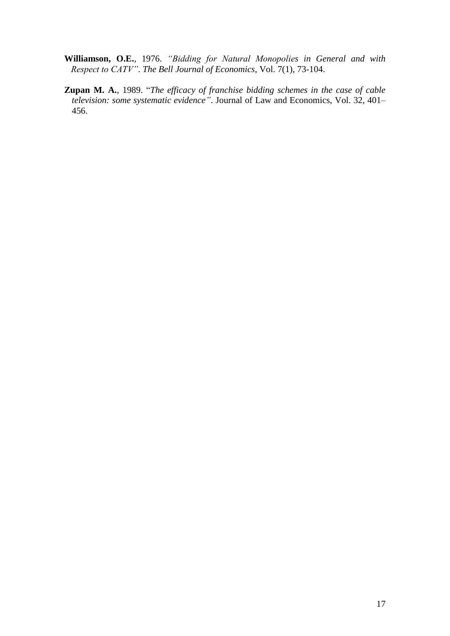- **Williamson, O.E.**, 1976. *"Bidding for Natural Monopolies in General and with Respect to CATV"*. *The Bell Journal of Economics*, Vol. 7(1), 73-104.
- **Zupan M. A.**, 1989. "*The efficacy of franchise bidding schemes in the case of cable television: some systematic evidence"*. Journal of Law and Economics, Vol. 32, 401– 456.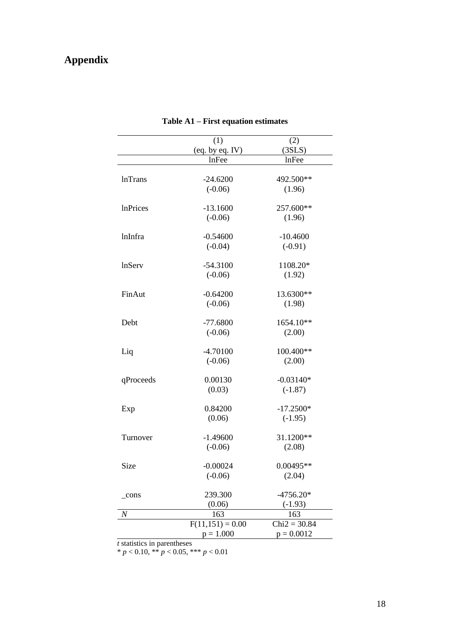# **Appendix**

|                  | (1)                | (2)            |
|------------------|--------------------|----------------|
|                  | (eq. by eq. IV)    | (3SLS)         |
|                  | lnFee              | lnFee          |
|                  |                    |                |
| <b>InTrans</b>   | $-24.6200$         | 492.500**      |
|                  | $(-0.06)$          | (1.96)         |
|                  |                    |                |
| <b>InPrices</b>  | $-13.1600$         | 257.600**      |
|                  | $(-0.06)$          | (1.96)         |
| lnInfra          | $-0.54600$         | $-10.4600$     |
|                  | $(-0.04)$          | $(-0.91)$      |
|                  |                    |                |
| lnServ           | $-54.3100$         | 1108.20*       |
|                  | $(-0.06)$          | (1.92)         |
|                  |                    |                |
| FinAut           | $-0.64200$         | 13.6300**      |
|                  | $(-0.06)$          | (1.98)         |
|                  |                    |                |
| Debt             | $-77.6800$         | 1654.10**      |
|                  | $(-0.06)$          | (2.00)         |
| Liq              | $-4.70100$         | 100.400**      |
|                  | $(-0.06)$          | (2.00)         |
|                  |                    |                |
| qProceeds        | 0.00130            | $-0.03140*$    |
|                  | (0.03)             | $(-1.87)$      |
|                  |                    |                |
| Exp              | 0.84200            | $-17.2500*$    |
|                  | (0.06)             | $(-1.95)$      |
|                  |                    |                |
| Turnover         | $-1.49600$         | 31.1200**      |
|                  | $(-0.06)$          | (2.08)         |
| Size             | $-0.00024$         | $0.00495**$    |
|                  | $(-0.06)$          | (2.04)         |
|                  |                    |                |
| cons             | 239.300            | $-4756.20*$    |
|                  | (0.06)             | $(-1.93)$      |
| $\boldsymbol{N}$ | 163                | 163            |
|                  | $F(11,151) = 0.00$ | $Chi2 = 30.84$ |
|                  | $p = 1.000$        | $p = 0.0012$   |

# **Table A1 – First equation estimates**

*t* statistics in parentheses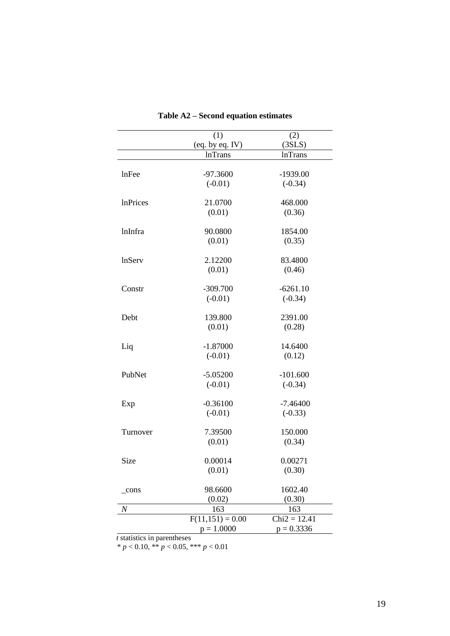|                  | (1)                | (2)            |
|------------------|--------------------|----------------|
|                  | (eq. by eq. IV)    | (3SLS)         |
|                  | <b>InTrans</b>     | <b>InTrans</b> |
|                  |                    |                |
| lnFee            | $-97.3600$         | $-1939.00$     |
|                  | $(-0.01)$          | $(-0.34)$      |
| <b>InPrices</b>  | 21.0700            | 468.000        |
|                  | (0.01)             | (0.36)         |
| lnInfra          | 90.0800            | 1854.00        |
|                  | (0.01)             | (0.35)         |
|                  |                    |                |
| lnServ           | 2.12200            | 83.4800        |
|                  | (0.01)             | (0.46)         |
| Constr           | $-309.700$         | $-6261.10$     |
|                  | $(-0.01)$          | $(-0.34)$      |
|                  |                    |                |
| Debt             | 139.800            | 2391.00        |
|                  | (0.01)             | (0.28)         |
|                  |                    | 14.6400        |
| Liq              | $-1.87000$         |                |
|                  | $(-0.01)$          | (0.12)         |
| PubNet           | $-5.05200$         | $-101.600$     |
|                  | $(-0.01)$          | $(-0.34)$      |
| Exp              | $-0.36100$         | $-7.46400$     |
|                  | $(-0.01)$          | $(-0.33)$      |
|                  |                    |                |
| Turnover         | 7.39500            | 150.000        |
|                  | (0.01)             | (0.34)         |
| Size             | 0.00014            | 0.00271        |
|                  | (0.01)             | (0.30)         |
|                  |                    |                |
| cons             | 98.6600            | 1602.40        |
|                  | (0.02)             | (0.30)         |
| $\boldsymbol{N}$ | 163                | 163            |
|                  | $F(11,151) = 0.00$ | $Chi2 = 12.41$ |
|                  | $p = 1.0000$       | $p = 0.3336$   |

# **Table A2 – Second equation estimates**

*t* statistics in parentheses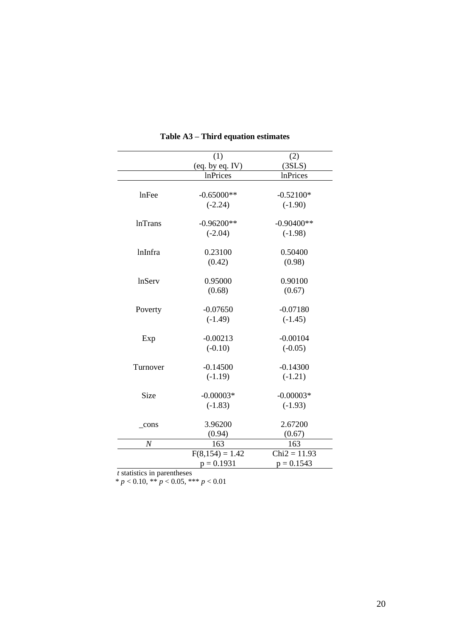|                  | (1)               | (2)             |
|------------------|-------------------|-----------------|
|                  | (eq. by eq. IV)   | (3SLS)          |
|                  | <b>InPrices</b>   | <b>InPrices</b> |
|                  |                   |                 |
| lnFee            | $-0.65000**$      | $-0.52100*$     |
|                  | $(-2.24)$         | $(-1.90)$       |
| <b>lnTrans</b>   | $-0.96200**$      | $-0.90400**$    |
|                  | $(-2.04)$         | $(-1.98)$       |
|                  |                   |                 |
| lnInfra          | 0.23100           | 0.50400         |
|                  | (0.42)            | (0.98)          |
|                  |                   |                 |
| lnServ           | 0.95000           | 0.90100         |
|                  | (0.68)            | (0.67)          |
| Poverty          | $-0.07650$        | $-0.07180$      |
|                  | $(-1.49)$         | $(-1.45)$       |
|                  |                   |                 |
| Exp              | $-0.00213$        | $-0.00104$      |
|                  | $(-0.10)$         | $(-0.05)$       |
| Turnover         | $-0.14500$        | $-0.14300$      |
|                  | $(-1.19)$         | $(-1.21)$       |
| Size             | $-0.00003*$       | $-0.00003*$     |
|                  | $(-1.83)$         | $(-1.93)$       |
|                  |                   |                 |
| $_{\rm cons}$    | 3.96200           | 2.67200         |
|                  | (0.94)            | (0.67)          |
| $\boldsymbol{N}$ | 163               | 163             |
|                  | $F(8,154) = 1.42$ | $Chi2 = 11.93$  |
|                  | $p = 0.1931$      | $p = 0.1543$    |

#### **Table A3 – Third equation estimates**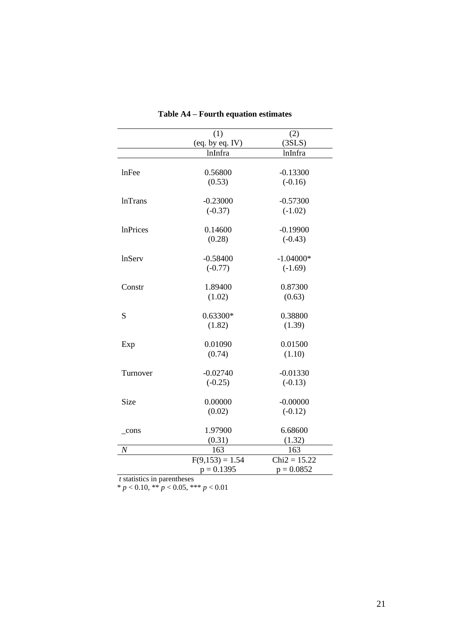|                  | (1)               | (2)            |
|------------------|-------------------|----------------|
|                  | (eq. by eq. IV)   | (3SLS)         |
|                  | <b>lnInfra</b>    | lnInfra        |
|                  |                   |                |
| lnFee            | 0.56800           | $-0.13300$     |
|                  | (0.53)            | $(-0.16)$      |
|                  |                   |                |
| <b>lnTrans</b>   | $-0.23000$        | $-0.57300$     |
|                  | $(-0.37)$         | $(-1.02)$      |
|                  |                   |                |
| <b>InPrices</b>  | 0.14600           | $-0.19900$     |
|                  | (0.28)            | $(-0.43)$      |
|                  |                   |                |
| lnServ           | $-0.58400$        | $-1.04000*$    |
|                  | $(-0.77)$         | $(-1.69)$      |
| Constr           | 1.89400           | 0.87300        |
|                  | (1.02)            | (0.63)         |
|                  |                   |                |
| S                | $0.63300*$        | 0.38800        |
|                  | (1.82)            | (1.39)         |
|                  |                   |                |
| Exp              | 0.01090           | 0.01500        |
|                  | (0.74)            | (1.10)         |
|                  |                   |                |
| Turnover         | $-0.02740$        | $-0.01330$     |
|                  | $(-0.25)$         | $(-0.13)$      |
| Size             | 0.00000           | $-0.00000$     |
|                  | (0.02)            | $(-0.12)$      |
|                  |                   |                |
| cons             | 1.97900           | 6.68600        |
|                  | (0.31)            | (1.32)         |
| $\boldsymbol{N}$ | 163               | 163            |
|                  | $F(9,153) = 1.54$ | $Chi2 = 15.22$ |
|                  | $p = 0.1395$      | $p = 0.0852$   |

# **Table A4 – Fourth equation estimates**

*t* statistics in parentheses